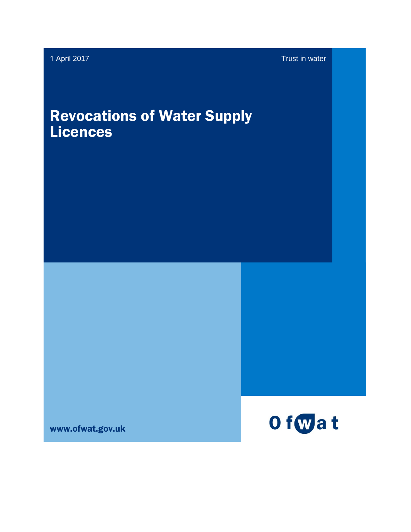# Revocations of Water Supply Licences

www.ofwat.gov.uk

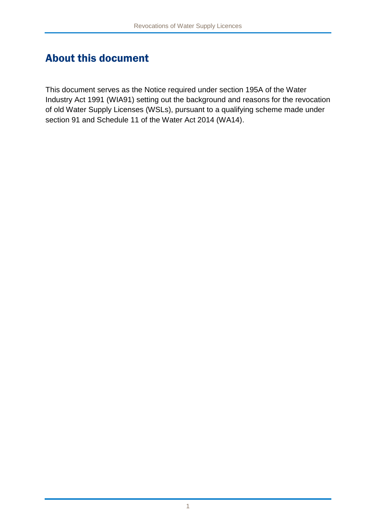#### About this document

This document serves as the Notice required under section 195A of the Water Industry Act 1991 (WIA91) setting out the background and reasons for the revocation of old Water Supply Licenses (WSLs), pursuant to a qualifying scheme made under section 91 and Schedule 11 of the Water Act 2014 (WA14).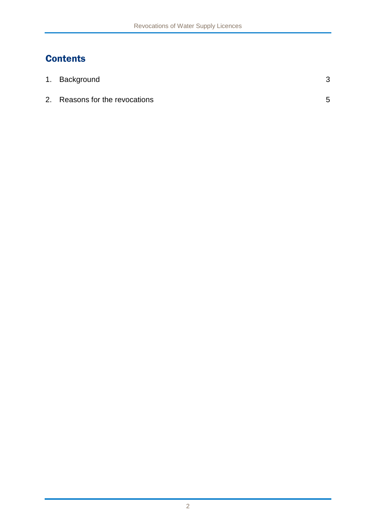#### **Contents**

| 1. Background                  |   |
|--------------------------------|---|
| 2. Reasons for the revocations | 5 |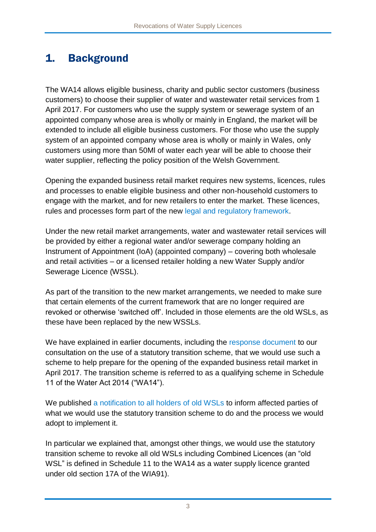## 1. Background

The WA14 allows eligible business, charity and public sector customers (business customers) to choose their supplier of water and wastewater retail services from 1 April 2017. For customers who use the supply system or sewerage system of an appointed company whose area is wholly or mainly in England, the market will be extended to include all eligible business customers. For those who use the supply system of an appointed company whose area is wholly or mainly in Wales, only customers using more than 50Ml of water each year will be able to choose their water supplier, reflecting the policy position of the Welsh Government.

Opening the expanded business retail market requires new systems, licences, rules and processes to enable eligible business and other non-household customers to engage with the market, and for new retailers to enter the market. These licences, rules and processes form part of the new [legal and regulatory framework.](http://www.ofwat.gov.uk/wp-content/uploads/2017/02/Legal-framework-for-retail-market-opening-updated-February-2017.pdf)

Under the new retail market arrangements, water and wastewater retail services will be provided by either a regional water and/or sewerage company holding an Instrument of Appointment (IoA) (appointed company) – covering both wholesale and retail activities – or a licensed retailer holding a new Water Supply and/or Sewerage Licence (WSSL).

As part of the transition to the new market arrangements, we needed to make sure that certain elements of the current framework that are no longer required are revoked or otherwise 'switched off'. Included in those elements are the old WSLs, as these have been replaced by the new WSSLs.

We have explained in earlier documents, including the [response document](http://www.ofwat.gov.uk/publication/statutory-transition-scheme-for-retail-market-opening-response-document/) to our consultation on the use of a statutory transition scheme, that we would use such a scheme to help prepare for the opening of the expanded business retail market in April 2017. The transition scheme is referred to as a qualifying scheme in Schedule 11 of the Water Act 2014 ("WA14").

We published [a notification to all holders of old WSLs](http://www.ofwat.gov.uk/wp-content/uploads/2017/02/Statutory-transition-scheme-notification-to-holders-of-Water-Supply-Licences-and-Combined-Licences-granted-under-WIA91.pdf) to inform affected parties of what we would use the statutory transition scheme to do and the process we would adopt to implement it.

In particular we explained that, amongst other things, we would use the statutory transition scheme to revoke all old WSLs including Combined Licences (an "old WSL" is defined in Schedule 11 to the WA14 as a water supply licence granted under old section 17A of the WIA91).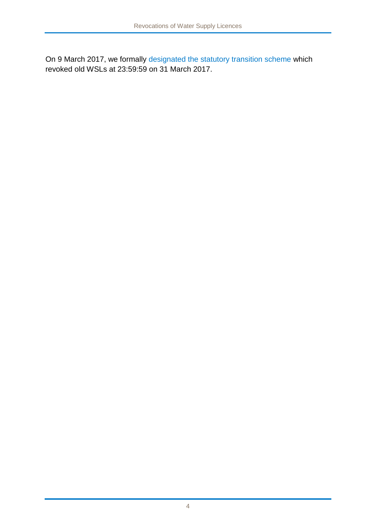On 9 March 2017, we formally [designated the statutory transition scheme](http://www.ofwat.gov.uk/wp-content/uploads/2017/03/Designation-of-Qualifying-Scheme.pdf) which revoked old WSLs at 23:59:59 on 31 March 2017.